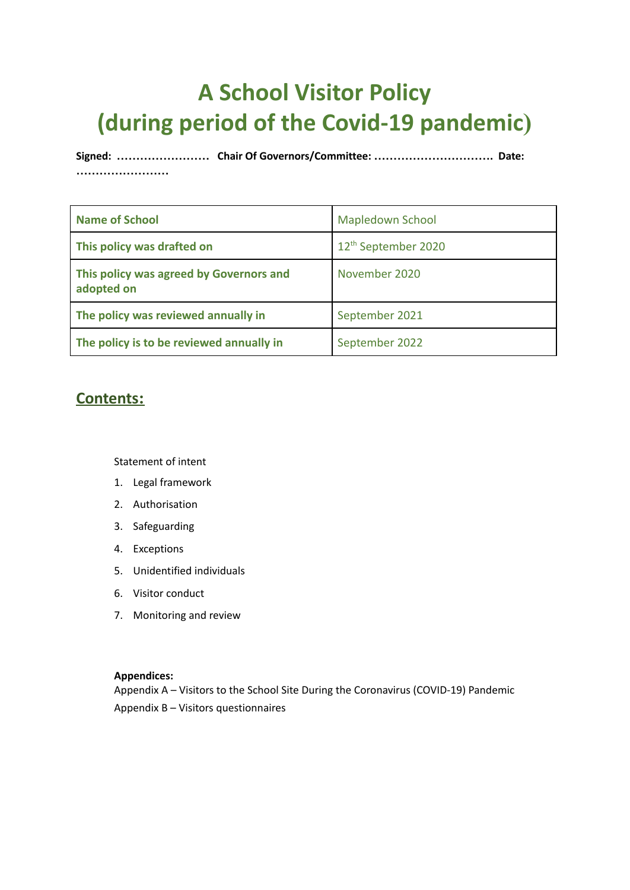### **A School Visitor Policy (during period of the Covid-19 pandemic)**

**Signed: …………………… Chair Of Governors/Committee: …………………………. Date: ……………………**

| <b>Name of School</b>                                 | <b>Mapledown School</b>         |
|-------------------------------------------------------|---------------------------------|
| This policy was drafted on                            | 12 <sup>th</sup> September 2020 |
| This policy was agreed by Governors and<br>adopted on | November 2020                   |
| The policy was reviewed annually in                   | September 2021                  |
| The policy is to be reviewed annually in              | September 2022                  |

#### **Contents:**

Statement of intent

- 1. Legal framework
- 2. [Authorisation](#page-1-0)
- 3. [Safeguarding](#page-2-0)
- 4. [Exceptions](#page-3-0)
- 5. [Unidentified](#page-3-1) individuals
- 6. Visitor [conduct](#page-3-2)
- 7. [Monitoring](#page-4-0) and review

#### **Appendices:**

Appendix A – Visitors to the School Site During the Coronavirus (COVID-19) Pandemic Appendix B – Visitors questionnaires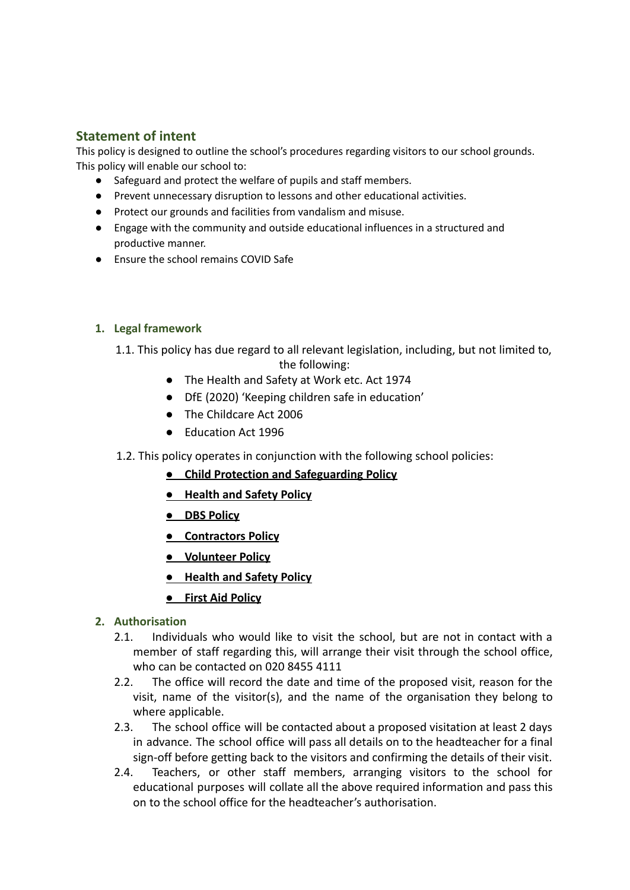#### **Statement of intent**

This policy is designed to outline the school's procedures regarding visitors to our school grounds. This policy will enable our school to:

- Safeguard and protect the welfare of pupils and staff members.
- Prevent unnecessary disruption to lessons and other educational activities.
- Protect our grounds and facilities from vandalism and misuse.
- Engage with the community and outside educational influences in a structured and productive manner.
- Ensure the school remains COVID Safe

#### **1. Legal framework**

- 1.1. This policy has due regard to all relevant legislation, including, but not limited to, the following:
	- The Health and Safety at Work etc. Act 1974
	- DfE (2020) 'Keeping children safe in education'
	- The Childcare Act 2006
	- Education Act 1996
- 1.2. This policy operates in conjunction with the following school policies:
	- **● Child Protection and Safeguarding Policy**
	- **● Health and Safety Policy**
	- **● DBS Policy**
	- **● Contractors Policy**
	- **● Volunteer Policy**
	- **● Health and Safety Policy**
	- **● First Aid Policy**

#### <span id="page-1-0"></span>**2. Authorisation**

- 2.1. Individuals who would like to visit the school, but are not in contact with a member of staff regarding this, will arrange their visit through the school office, who can be contacted on 020 8455 4111
- 2.2. The office will record the date and time of the proposed visit, reason for the visit, name of the visitor(s), and the name of the organisation they belong to where applicable.
- 2.3. The school office will be contacted about a proposed visitation at least 2 days in advance. The school office will pass all details on to the headteacher for a final sign-off before getting back to the visitors and confirming the details of their visit.
- 2.4. Teachers, or other staff members, arranging visitors to the school for educational purposes will collate all the above required information and pass this on to the school office for the headteacher's authorisation.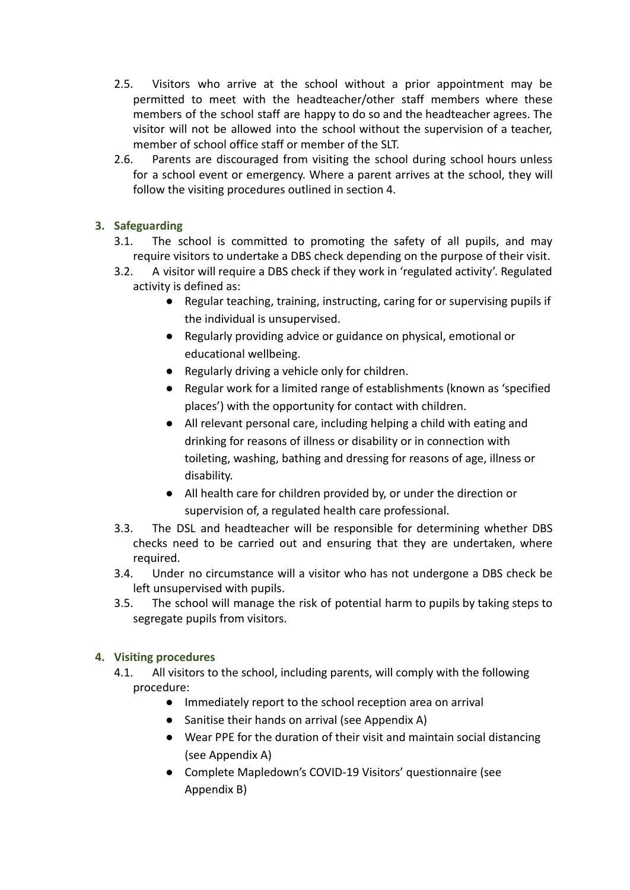- 2.5. Visitors who arrive at the school without a prior appointment may be permitted to meet with the headteacher/other staff members where these members of the school staff are happy to do so and the headteacher agrees. The visitor will not be allowed into the school without the supervision of a teacher, member of school office staff or member of the SLT.
- 2.6. Parents are discouraged from visiting the school during school hours unless for a school event or emergency. Where a parent arrives at the school, they will follow the visiting procedures outlined in [section](#page-2-1) 4.

#### <span id="page-2-0"></span>**3. Safeguarding**

- 3.1. The school is committed to promoting the safety of all pupils, and may require visitors to undertake a DBS check depending on the purpose of their visit.
- 3.2. A visitor will require a DBS check if they work in 'regulated activity'. Regulated activity is defined as:
	- Regular teaching, training, instructing, caring for or supervising pupils if the individual is unsupervised.
	- Regularly providing advice or guidance on physical, emotional or educational wellbeing.
	- Regularly driving a vehicle only for children.
	- Regular work for a limited range of establishments (known as 'specified places') with the opportunity for contact with children.
	- All relevant personal care, including helping a child with eating and drinking for reasons of illness or disability or in connection with toileting, washing, bathing and dressing for reasons of age, illness or disability.
	- All health care for children provided by, or under the direction or supervision of, a regulated health care professional.
- 3.3. The DSL and headteacher will be responsible for determining whether DBS checks need to be carried out and ensuring that they are undertaken, where required.
- 3.4. Under no circumstance will a visitor who has not undergone a DBS check be left unsupervised with pupils.
- 3.5. The school will manage the risk of potential harm to pupils by taking steps to segregate pupils from visitors.

#### <span id="page-2-1"></span>**4. Visiting procedures**

- 4.1. All visitors to the school, including parents, will comply with the following procedure:
	- Immediately report to the school reception area on arrival
	- Sanitise their hands on arrival (see Appendix A)
	- Wear PPE for the duration of their visit and maintain social distancing (see Appendix A)
	- Complete Mapledown's COVID-19 Visitors' questionnaire (see Appendix B)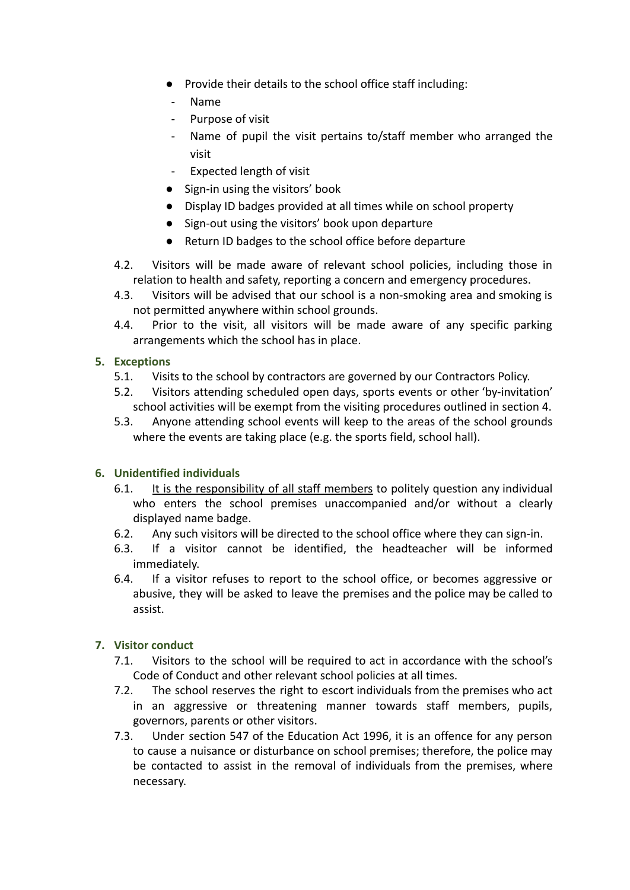- Provide their details to the school office staff including:
- Name
- Purpose of visit
- Name of pupil the visit pertains to/staff member who arranged the visit
- Expected length of visit
- Sign-in using the visitors' book
- Display ID badges provided at all times while on school property
- Sign-out using the visitors' book upon departure
- Return ID badges to the school office before departure
- 4.2. Visitors will be made aware of relevant school policies, including those in relation to health and safety, reporting a concern and emergency procedures.
- 4.3. Visitors will be advised that our school is a non-smoking area and smoking is not permitted anywhere within school grounds.
- 4.4. Prior to the visit, all visitors will be made aware of any specific parking arrangements which the school has in place.

#### <span id="page-3-0"></span>**5. Exceptions**

- 5.1. Visits to the school by contractors are governed by our Contractors Policy.
- 5.2. Visitors attending scheduled open days, sports events or other 'by-invitation' school activities will be exempt from the visiting procedures outlined in [section 4](#page-2-1).
- 5.3. Anyone attending school events will keep to the areas of the school grounds where the events are taking place (e.g. the sports field, school hall).

#### <span id="page-3-1"></span>**6. Unidentified individuals**

- 6.1. It is the responsibility of all staff members to politely question any individual who enters the school premises unaccompanied and/or without a clearly displayed name badge.
- 6.2. Any such visitors will be directed to the school office where they can sign-in.
- 6.3. If a visitor cannot be identified, the headteacher will be informed immediately.
- 6.4. If a visitor refuses to report to the school office, or becomes aggressive or abusive, they will be asked to leave the premises and the police may be called to assist.

#### <span id="page-3-2"></span>**7. Visitor conduct**

- 7.1. Visitors to the school will be required to act in accordance with the school's Code of Conduct and other relevant school policies at all times.
- 7.2. The school reserves the right to escort individuals from the premises who act in an aggressive or threatening manner towards staff members, pupils, governors, parents or other visitors.
- 7.3. Under section 547 of the Education Act 1996, it is an offence for any person to cause a nuisance or disturbance on school premises; therefore, the police may be contacted to assist in the removal of individuals from the premises, where necessary.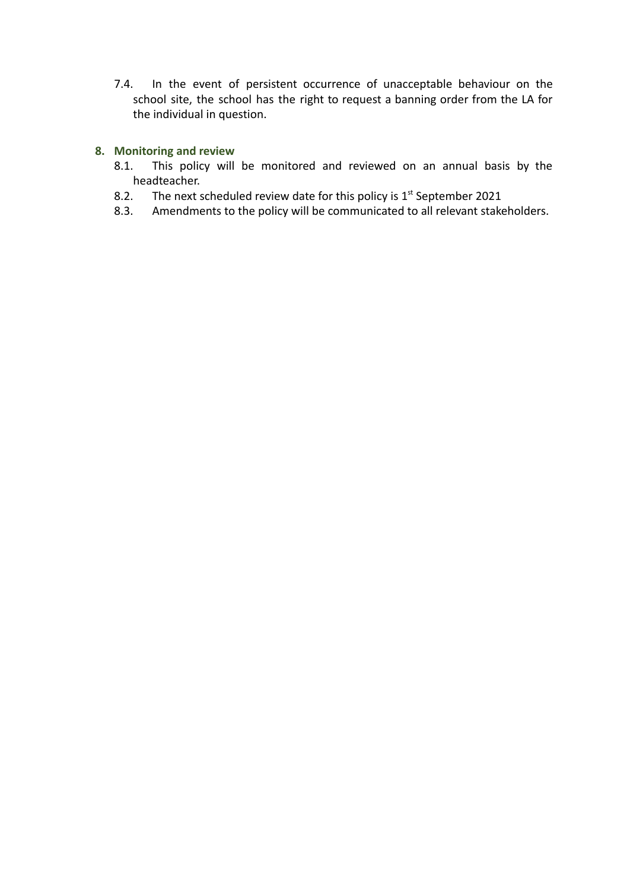7.4. In the event of persistent occurrence of unacceptable behaviour on the school site, the school has the right to request a banning order from the LA for the individual in question.

#### <span id="page-4-0"></span>**8. Monitoring and review**

- 8.1. This policy will be monitored and reviewed on an annual basis by the headteacher.
- 8.2. The next scheduled review date for this policy is  $1<sup>st</sup>$  September 2021
- 8.3. Amendments to the policy will be communicated to all relevant stakeholders.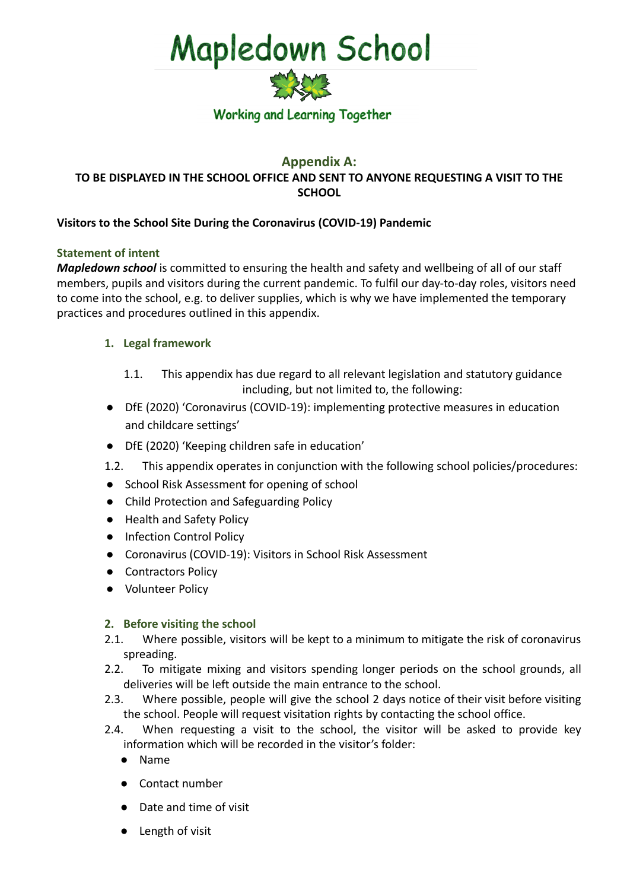

#### **Appendix A: TO BE DISPLAYED IN THE SCHOOL OFFICE AND SENT TO ANYONE REQUESTING A VISIT TO THE SCHOOL**

#### **Visitors to the School Site During the Coronavirus (COVID-19) Pandemic**

#### **Statement of intent**

*Mapledown school* is committed to ensuring the health and safety and wellbeing of all of our staff members, pupils and visitors during the current pandemic. To fulfil our day-to-day roles, visitors need to come into the school, e.g. to deliver supplies, which is why we have implemented the temporary practices and procedures outlined in this appendix.

#### **1. Legal framework**

- 1.1. This appendix has due regard to all relevant legislation and statutory guidance including, but not limited to, the following:
- DfE (2020) 'Coronavirus (COVID-19): implementing protective measures in education and childcare settings'
- DfE (2020) 'Keeping children safe in education'
- 1.2. This appendix operates in conjunction with the following school policies/procedures:
- School Risk Assessment for opening of school
- Child Protection and Safeguarding Policy
- Health and Safety Policy
- Infection Control Policy
- Coronavirus (COVID-19): Visitors in School Risk Assessment
- Contractors Policy
- Volunteer Policy

#### **2. Before visiting the school**

- 2.1. Where possible, visitors will be kept to a minimum to mitigate the risk of coronavirus spreading.
- 2.2. To mitigate mixing and visitors spending longer periods on the school grounds, all deliveries will be left outside the main entrance to the school.
- 2.3. Where possible, people will give the school 2 days notice of their visit before visiting the school. People will request visitation rights by contacting the school office.
- 2.4. When requesting a visit to the school, the visitor will be asked to provide key information which will be recorded in the visitor's folder:
	- Name
	- Contact number
	- Date and time of visit
	- Length of visit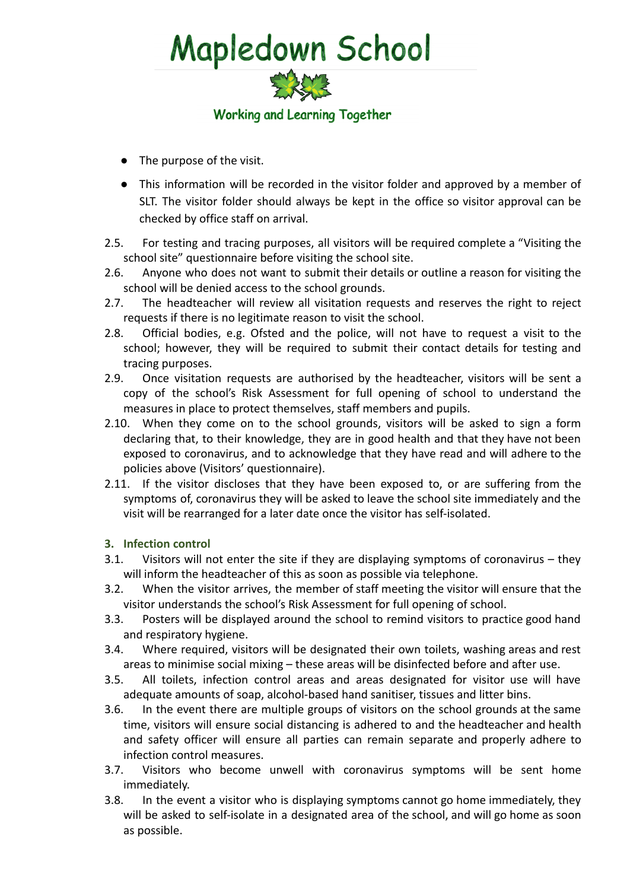

- The purpose of the visit.
- This information will be recorded in the visitor folder and approved by a member of SLT. The visitor folder should always be kept in the office so visitor approval can be checked by office staff on arrival.
- 2.5. For testing and tracing purposes, all visitors will be required complete a "Visiting the school site" questionnaire before visiting the school site.
- 2.6. Anyone who does not want to submit their details or outline a reason for visiting the school will be denied access to the school grounds.
- 2.7. The headteacher will review all visitation requests and reserves the right to reject requests if there is no legitimate reason to visit the school.
- 2.8. Official bodies, e.g. Ofsted and the police, will not have to request a visit to the school; however, they will be required to submit their contact details for testing and tracing purposes.
- 2.9. Once visitation requests are authorised by the headteacher, visitors will be sent a copy of the school's Risk Assessment for full opening of school to understand the measures in place to protect themselves, staff members and pupils.
- 2.10. When they come on to the school grounds, visitors will be asked to sign a form declaring that, to their knowledge, they are in good health and that they have not been exposed to coronavirus, and to acknowledge that they have read and will adhere to the policies above (Visitors' questionnaire).
- 2.11. If the visitor discloses that they have been exposed to, or are suffering from the symptoms of, coronavirus they will be asked to leave the school site immediately and the visit will be rearranged for a later date once the visitor has self-isolated.

#### **3. Infection control**

- 3.1. Visitors will not enter the site if they are displaying symptoms of coronavirus they will inform the headteacher of this as soon as possible via telephone.
- 3.2. When the visitor arrives, the member of staff meeting the visitor will ensure that the visitor understands the school's Risk Assessment for full opening of school.
- 3.3. Posters will be displayed around the school to remind visitors to practice good hand and respiratory hygiene.
- 3.4. Where required, visitors will be designated their own toilets, washing areas and rest areas to minimise social mixing – these areas will be disinfected before and after use.
- 3.5. All toilets, infection control areas and areas designated for visitor use will have adequate amounts of soap, alcohol-based hand sanitiser, tissues and litter bins.
- 3.6. In the event there are multiple groups of visitors on the school grounds at the same time, visitors will ensure social distancing is adhered to and the headteacher and health and safety officer will ensure all parties can remain separate and properly adhere to infection control measures.
- 3.7. Visitors who become unwell with coronavirus symptoms will be sent home immediately.
- 3.8. In the event a visitor who is displaying symptoms cannot go home immediately, they will be asked to self-isolate in a designated area of the school, and will go home as soon as possible.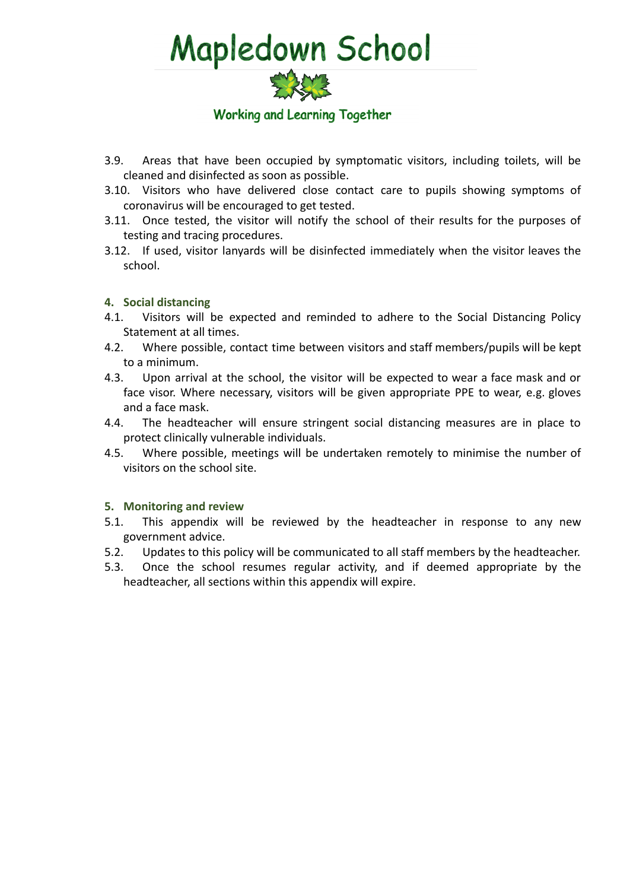

- 3.9. Areas that have been occupied by symptomatic visitors, including toilets, will be cleaned and disinfected as soon as possible.
- 3.10. Visitors who have delivered close contact care to pupils showing symptoms of coronavirus will be encouraged to get tested.
- 3.11. Once tested, the visitor will notify the school of their results for the purposes of testing and tracing procedures.
- 3.12. If used, visitor lanyards will be disinfected immediately when the visitor leaves the school.

#### **4. Social distancing**

- 4.1. Visitors will be expected and reminded to adhere to the Social Distancing Policy Statement at all times.
- 4.2. Where possible, contact time between visitors and staff members/pupils will be kept to a minimum.
- 4.3. Upon arrival at the school, the visitor will be expected to wear a face mask and or face visor. Where necessary, visitors will be given appropriate PPE to wear, e.g. gloves and a face mask.
- 4.4. The headteacher will ensure stringent social distancing measures are in place to protect clinically vulnerable individuals.
- 4.5. Where possible, meetings will be undertaken remotely to minimise the number of visitors on the school site.

#### **5. Monitoring and review**

- 5.1. This appendix will be reviewed by the headteacher in response to any new government advice.
- 5.2. Updates to this policy will be communicated to all staff members by the headteacher.
- 5.3. Once the school resumes regular activity, and if deemed appropriate by the headteacher, all sections within this appendix will expire.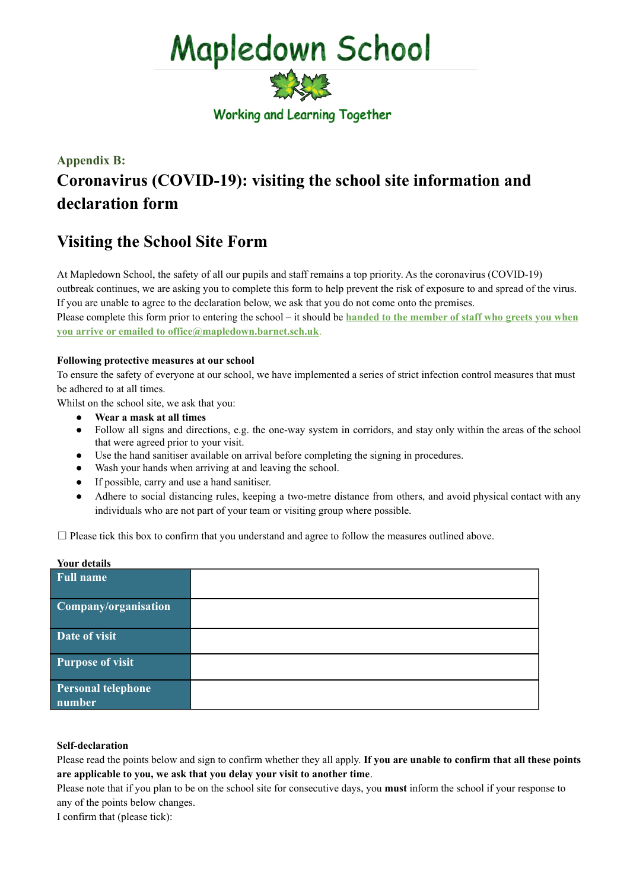

#### **Appendix B: Coronavirus (COVID-19): visiting the school site information and declaration form**

#### **Visiting the School Site Form**

At Mapledown School, the safety of all our pupils and staff remains a top priority. As the coronavirus (COVID-19) outbreak continues, we are asking you to complete this form to help prevent the risk of exposure to and spread of the virus. If you are unable to agree to the declaration below, we ask that you do not come onto the premises. Please complete this form prior to entering the school – it should be **handed to the member of staff who greets you when**

**you arrive or emailed to office@mapledown.barnet.sch.uk**.

#### **Following protective measures at our school**

To ensure the safety of everyone at our school, we have implemented a series of strict infection control measures that must be adhered to at all times.

Whilst on the school site, we ask that you:

- **● Wear a mask at all times**
- Follow all signs and directions, e.g. the one-way system in corridors, and stay only within the areas of the school that were agreed prior to your visit.
- Use the hand sanitiser available on arrival before completing the signing in procedures.
- Wash your hands when arriving at and leaving the school.
- If possible, carry and use a hand sanitiser.
- Adhere to social distancing rules, keeping a two-metre distance from others, and avoid physical contact with any individuals who are not part of your team or visiting group where possible.

 $\Box$  Please tick this box to confirm that you understand and agree to follow the measures outlined above.

#### **Your details**

| <b>Full name</b>                    |  |
|-------------------------------------|--|
| Company/organisation                |  |
| Date of visit                       |  |
| <b>Purpose of visit</b>             |  |
| <b>Personal telephone</b><br>number |  |

#### **Self-declaration**

Please read the points below and sign to confirm whether they all apply. **If you are unable to confirm that all these points are applicable to you, we ask that you delay your visit to another time**.

Please note that if you plan to be on the school site for consecutive days, you **must** inform the school if your response to any of the points below changes.

I confirm that (please tick):